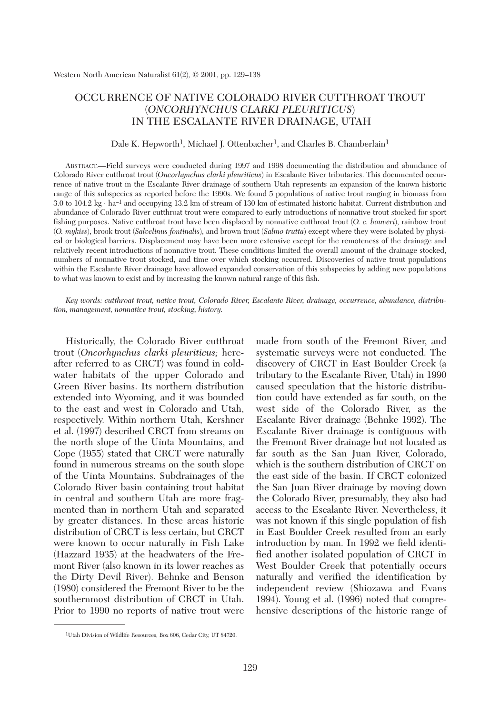# OCCURRENCE OF NATIVE COLORADO RIVER CUTTHROAT TROUT (*ONCORHYNCHUS CLARKI PLEURITICUS*) IN THE ESCALANTE RIVER DRAINAGE, UTAH

#### Dale K. Hepworth<sup>1</sup>, Michael J. Ottenbacher<sup>1</sup>, and Charles B. Chamberlain<sup>1</sup>

ABSTRACT.—Field surveys were conducted during 1997 and 1998 documenting the distribution and abundance of Colorado River cutthroat trout (*Oncorhynchus clarki pleuriticus*) in Escalante River tributaries. This documented occurrence of native trout in the Escalante River drainage of southern Utah represents an expansion of the known historic range of this subspecies as reported before the 1990s. We found 5 populations of native trout ranging in biomass from 3.0 to 104.2 kg ⋅ ha–1 and occupying 13.2 km of stream of 130 km of estimated historic habitat. Current distribution and abundance of Colorado River cutthroat trout were compared to early introductions of nonnative trout stocked for sport fishing purposes. Native cutthroat trout have been displaced by nonnative cutthroat trout (*O. c. bouveri*), rainbow trout (*O. mykiss*), brook trout (*Salvelinus fontinalis*), and brown trout (*Salmo trutta*) except where they were isolated by physical or biological barriers. Displacement may have been more extensive except for the remoteness of the drainage and relatively recent introductions of nonnative trout. These conditions limited the overall amount of the drainage stocked, numbers of nonnative trout stocked, and time over which stocking occurred. Discoveries of native trout populations within the Escalante River drainage have allowed expanded conservation of this subspecies by adding new populations to what was known to exist and by increasing the known natural range of this fish.

*Key words: cutthroat trout, native trout, Colorado River, Escalante River, drainage, occurrence, abundance, distribution, management, nonnative trout, stocking, history.*

Historically, the Colorado River cutthroat trout (*Oncorhynchus clarki pleuriticus;* hereafter referred to as CRCT) was found in coldwater habitats of the upper Colorado and Green River basins. Its northern distribution extended into Wyoming, and it was bounded to the east and west in Colorado and Utah, respectively. Within northern Utah, Kershner et al. (1997) described CRCT from streams on the north slope of the Uinta Mountains, and Cope (1955) stated that CRCT were naturally found in numerous streams on the south slope of the Uinta Mountains. Subdrainages of the Colorado River basin containing trout habitat in central and southern Utah are more fragmented than in northern Utah and separated by greater distances. In these areas historic distribution of CRCT is less certain, but CRCT were known to occur naturally in Fish Lake (Hazzard 1935) at the headwaters of the Fremont River (also known in its lower reaches as the Dirty Devil River). Behnke and Benson (1980) considered the Fremont River to be the southernmost distribution of CRCT in Utah. Prior to 1990 no reports of native trout were made from south of the Fremont River, and systematic surveys were not conducted. The discovery of CRCT in East Boulder Creek (a tributary to the Escalante River, Utah) in 1990 caused speculation that the historic distribution could have extended as far south, on the west side of the Colorado River, as the Escalante River drainage (Behnke 1992). The Escalante River drainage is contiguous with the Fremont River drainage but not located as far south as the San Juan River, Colorado, which is the southern distribution of CRCT on the east side of the basin. If CRCT colonized the San Juan River drainage by moving down the Colorado River, presumably, they also had access to the Escalante River. Nevertheless, it was not known if this single population of fish in East Boulder Creek resulted from an early introduction by man. In 1992 we field identified another isolated population of CRCT in West Boulder Creek that potentially occurs naturally and verified the identification by independent review (Shiozawa and Evans 1994). Young et al. (1996) noted that comprehensive descriptions of the historic range of

<sup>1</sup>Utah Division of Wildlife Resources, Box 606, Cedar City, UT 84720.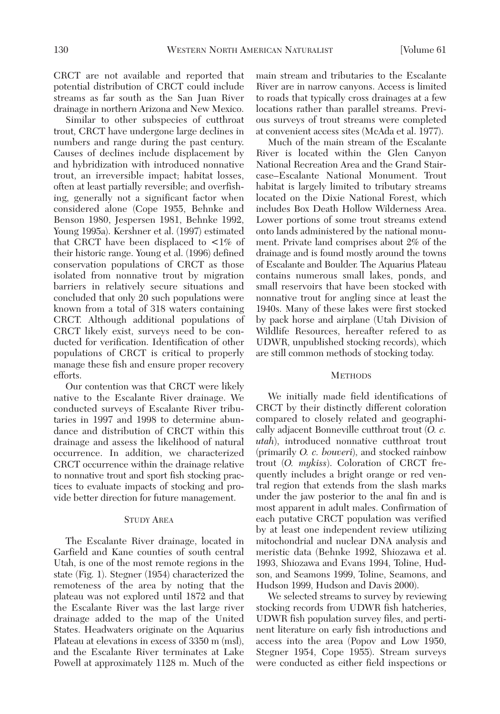CRCT are not available and reported that potential distribution of CRCT could include streams as far south as the San Juan River drainage in northern Arizona and New Mexico.

Similar to other subspecies of cutthroat trout, CRCT have undergone large declines in numbers and range during the past century. Causes of declines include displacement by and hybridization with introduced nonnative trout, an irreversible impact; habitat losses, often at least partially reversible; and overfishing, generally not a significant factor when considered alone (Cope 1955, Behnke and Benson 1980, Jespersen 1981, Behnke 1992, Young 1995a). Kershner et al. (1997) estimated that CRCT have been displaced to  $\lt 1\%$  of their historic range. Young et al. (1996) defined conservation populations of CRCT as those isolated from nonnative trout by migration barriers in relatively secure situations and concluded that only 20 such populations were known from a total of 318 waters containing CRCT. Although additional populations of CRCT likely exist, surveys need to be conducted for verification. Identification of other populations of CRCT is critical to properly manage these fish and ensure proper recovery efforts.

Our contention was that CRCT were likely native to the Escalante River drainage. We conducted surveys of Escalante River tributaries in 1997 and 1998 to determine abundance and distribution of CRCT within this drainage and assess the likelihood of natural occurrence. In addition, we characterized CRCT occurrence within the drainage relative to nonnative trout and sport fish stocking practices to evaluate impacts of stocking and provide better direction for future management.

### STUDY AREA

The Escalante River drainage, located in Garfield and Kane counties of south central Utah, is one of the most remote regions in the state (Fig. 1). Stegner (1954) characterized the remoteness of the area by noting that the plateau was not explored until 1872 and that the Escalante River was the last large river drainage added to the map of the United States. Headwaters originate on the Aquarius Plateau at elevations in excess of 3350 m (msl), and the Escalante River terminates at Lake Powell at approximately 1128 m. Much of the main stream and tributaries to the Escalante River are in narrow canyons. Access is limited to roads that typically cross drainages at a few locations rather than parallel streams. Previous surveys of trout streams were completed at convenient access sites (McAda et al. 1977).

Much of the main stream of the Escalante River is located within the Glen Canyon National Recreation Area and the Grand Staircase–Escalante National Monument. Trout habitat is largely limited to tributary streams located on the Dixie National Forest, which includes Box Death Hollow Wilderness Area. Lower portions of some trout streams extend onto lands administered by the national monument. Private land comprises about 2% of the drainage and is found mostly around the towns of Escalante and Boulder. The Aquarius Plateau contains numerous small lakes, ponds, and small reservoirs that have been stocked with nonnative trout for angling since at least the 1940s. Many of these lakes were first stocked by pack horse and airplane (Utah Division of Wildlife Resources, hereafter refered to as UDWR, unpublished stocking records), which are still common methods of stocking today.

## **METHODS**

We initially made field identifications of CRCT by their distinctly different coloration compared to closely related and geographically adjacent Bonneville cutthroat trout (*O. c. utah*), introduced nonnative cutthroat trout (primarily *O. c. bouveri*), and stocked rainbow trout (*O. mykiss*). Coloration of CRCT frequently includes a bright orange or red ventral region that extends from the slash marks under the jaw posterior to the anal fin and is most apparent in adult males. Confirmation of each putative CRCT population was verified by at least one independent review utilizing mitochondrial and nuclear DNA analysis and meristic data (Behnke 1992, Shiozawa et al. 1993, Shiozawa and Evans 1994, Toline, Hudson, and Seamons 1999, Toline, Seamons, and Hudson 1999, Hudson and Davis 2000).

We selected streams to survey by reviewing stocking records from UDWR fish hatcheries, UDWR fish population survey files, and pertinent literature on early fish introductions and access into the area (Popov and Low 1950, Stegner 1954, Cope 1955). Stream surveys were conducted as either field inspections or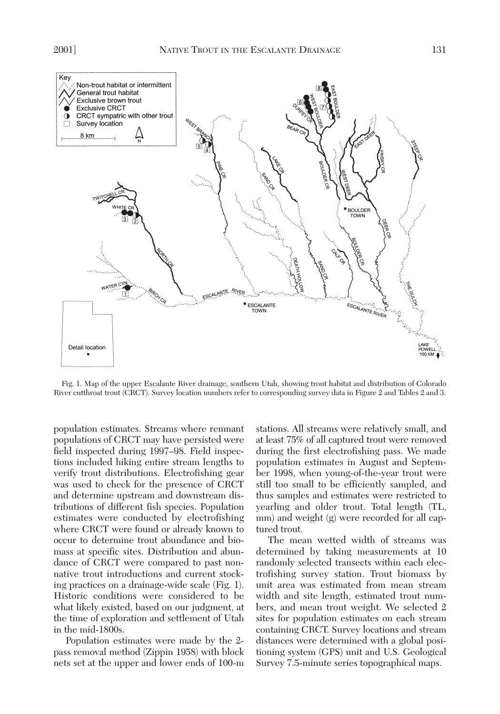

Fig. 1. Map of the upper Escalante River drainage, southern Utah, showing trout habitat and distribution of Colorado River cutthroat trout (CRCT). Survey location numbers refer to corresponding survey data in Figure 2 and Tables 2 and 3.

population estimates. Streams where remnant populations of CRCT may have persisted were field inspected during 1997–98. Field inspections included hiking entire stream lengths to verify trout distributions. Electrofishing gear was used to check for the presence of CRCT and determine upstream and downstream distributions of different fish species. Population estimates were conducted by electrofishing where CRCT were found or already known to occur to determine trout abundance and biomass at specific sites. Distribution and abundance of CRCT were compared to past nonnative trout introductions and current stocking practices on a drainage-wide scale (Fig. 1). Historic conditions were considered to be what likely existed, based on our judgment, at the time of exploration and settlement of Utah in the mid-1800s.

Population estimates were made by the 2 pass removal method (Zippin 1958) with block nets set at the upper and lower ends of 100-m

stations. All streams were relatively small, and at least 75% of all captured trout were removed during the first electrofishing pass. We made population estimates in August and September 1998, when young-of-the-year trout were still too small to be efficiently sampled, and thus samples and estimates were restricted to yearling and older trout. Total length (TL, mm) and weight (g) were recorded for all captured trout.

The mean wetted width of streams was determined by taking measurements at 10 randomly selected transects within each electrofishing survey station. Trout biomass by unit area was estimated from mean stream width and site length, estimated trout numbers, and mean trout weight. We selected 2 sites for population estimates on each stream containing CRCT. Survey locations and stream distances were determined with a global positioning system (GPS) unit and U.S. Geological Survey 7.5-minute series topographical maps.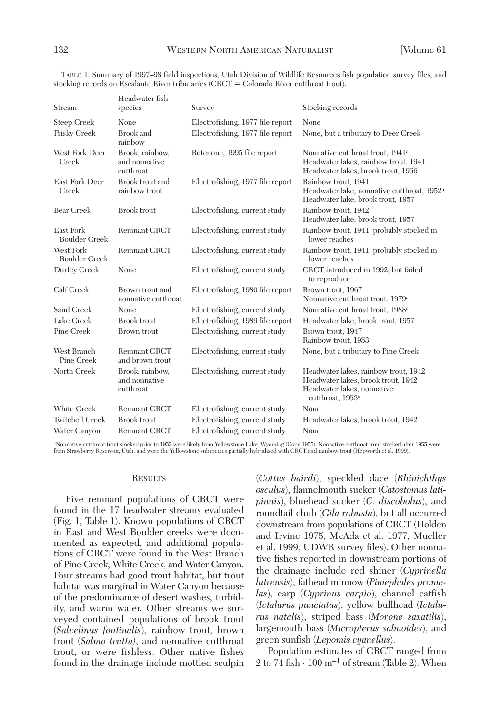| Stream                            | Headwater fish<br>species                     | Survey                           | Stocking records                                                                                                                         |
|-----------------------------------|-----------------------------------------------|----------------------------------|------------------------------------------------------------------------------------------------------------------------------------------|
| Steep Creek                       | None                                          | Electrofishing, 1977 file report | None                                                                                                                                     |
| Frisky Creek                      | Brook and<br>rainbow                          | Electrofishing, 1977 file report | None, but a tributary to Deer Creek                                                                                                      |
| West Fork Deer<br>Creek           | Brook, rainbow,<br>and nonnative<br>cutthroat | Rotenone, 1995 file report       | Nonnative cutthroat trout, 1941 <sup>a</sup><br>Headwater lakes, rainbow trout, 1941<br>Headwater lakes, brook trout, 1956               |
| East Fork Deer<br>Creek           | Brook trout and<br>rainbow trout              | Electrofishing, 1977 file report | Rainbow trout, 1941<br>Headwater lake, nonnative cutthroat, 1952 <sup>a</sup><br>Headwater lake, brook trout, 1957                       |
| <b>Bear Creek</b>                 | <b>Brook</b> trout                            | Electrofishing, current study    | Rainbow trout, 1942<br>Headwater lake, brook trout, 1957                                                                                 |
| East Fork<br><b>Boulder Creek</b> | <b>Remnant CRCT</b>                           | Electrofishing, current study    | Rainbow trout, 1941; probably stocked in<br>lower reaches                                                                                |
| West Fork<br><b>Boulder Creek</b> | <b>Remnant CRCT</b>                           | Electrofishing, current study    | Rainbow trout, 1941; probably stocked in<br>lower reaches                                                                                |
| Durfey Creek                      | None                                          | Electrofishing, current study    | CRCT introduced in 1992, but failed<br>to reproduce                                                                                      |
| Calf Creek                        | Brown trout and<br>nonnative cutthroat        | Electrofishing, 1980 file report | Brown trout, 1967<br>Nonnative cutthroat trout, 1979 <sup>a</sup>                                                                        |
| Sand Creek                        | None                                          | Electrofishing, current study    | Nonnative cutthroat trout, 1988 <sup>a</sup>                                                                                             |
| Lake Creek                        | Brook trout                                   | Electrofishing, 1989 file report | Headwater lake, brook trout, 1957                                                                                                        |
| Pine Creek                        | Brown trout                                   | Electrofishing, current study    | Brown trout, 1947<br>Rainbow trout, 1953                                                                                                 |
| West Branch<br>Pine Creek         | <b>Remnant CRCT</b><br>and brown trout        | Electrofishing, current study    | None, but a tributary to Pine Creek                                                                                                      |
| North Creek                       | Brook, rainbow,<br>and nonnative<br>cutthroat | Electrofishing, current study    | Headwater lakes, rainbow trout, 1942<br>Headwater lakes, brook trout, 1942<br>Headwater lakes, nonnative<br>cutthroat, 1953 <sup>a</sup> |
| White Creek                       | <b>Remnant CRCT</b>                           | Electrofishing, current study    | None                                                                                                                                     |
| <b>Twitchell Creek</b>            | <b>Brook</b> trout                            | Electrofishing, current study    | Headwater lakes, brook trout, 1942                                                                                                       |
| Water Canvon                      | <b>Remnant CRCT</b>                           | Electrofishing, current study    | None                                                                                                                                     |

TABLE 1. Summary of 1997–98 field inspections, Utah Division of Wildlife Resources fish population survey files, and stocking records on Escalante River tributaries (CRCT = Colorado River cutthroat trout).

aNonnative cutthroat trout stocked prior to 1955 were likely from Yellowstone Lake, Wyoming (Cope 1955). Nonnative cutthroat trout stocked after 1955 were from Strawberry Reservoir, Utah, and were the Yellowstone subspecies partially hybridized with CRCT and rainbow trout (Hepworth et al. 1999).

#### **RESULTS**

Five remnant populations of CRCT were found in the 17 headwater streams evaluated (Fig. 1, Table 1). Known populations of CRCT in East and West Boulder creeks were documented as expected, and additional populations of CRCT were found in the West Branch of Pine Creek, White Creek, and Water Canyon. Four streams had good trout habitat, but trout habitat was marginal in Water Canyon because of the predominance of desert washes, turbidity, and warm water. Other streams we surveyed contained populations of brook trout (*Salvelinus fontinalis*), rainbow trout, brown trout (*Salmo trutta)*, and nonnative cutthroat trout, or were fishless. Other native fishes found in the drainage include mottled sculpin (*Cottus bairdi*), speckled dace (*Rhinichthys osculus*), flannelmouth sucker (*Catostomus latipinnis*), bluehead sucker (*C. discobolus*), and roundtail chub (*Gila robusta*), but all occurred downstream from populations of CRCT (Holden and Irvine 1975, McAda et al. 1977, Mueller et al. 1999, UDWR survey files). Other nonnative fishes reported in downstream portions of the drainage include red shiner (*Cyprinella lutrensis*), fathead minnow (*Pimephales promelas*), carp (*Cyprinus carpio*), channel catfish (*Ictalurus punctatus*), yellow bullhead (*Ictalurus natalis*), striped bass (*Morone saxatilis*), largemouth bass (*Micropterus salmoides*), and green sunfish (*Lepomis cyanellus*).

Population estimates of CRCT ranged from 2 to 74 fish  $\cdot$  100 m<sup>-1</sup> of stream (Table 2). When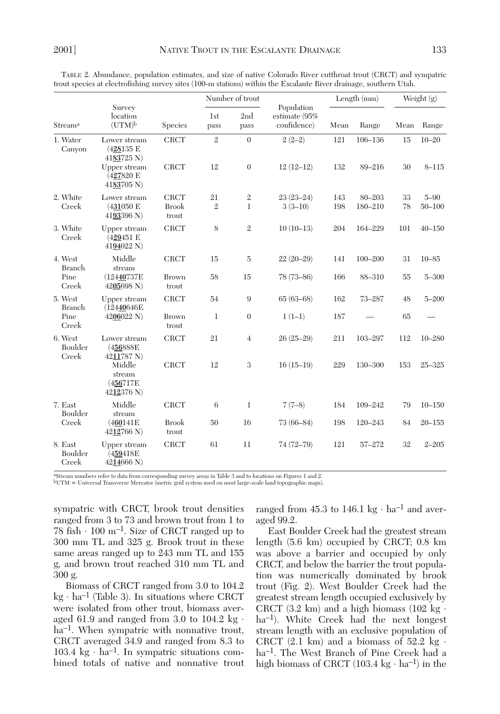|                                           | Survey<br>location<br>$(UTM)^b$            | Species               | Number of trout    |                  |                                            | Length (mm) |             | Weight (g) |            |
|-------------------------------------------|--------------------------------------------|-----------------------|--------------------|------------------|--------------------------------------------|-------------|-------------|------------|------------|
| Stream <sup>a</sup>                       |                                            |                       | <b>lst</b><br>pass | 2nd<br>pass      | Population<br>estimate (95%<br>confidence) | Mean        | Range       | Mean       | Range      |
| 1. Water<br>Canyon                        | Lower stream<br>(428135 E<br>4183725 N     | <b>CRCT</b>           | $\overline{2}$     | $\overline{0}$   | $2(2-2)$                                   | 121         | $106 - 136$ | 15         | $10 - 20$  |
|                                           | Upper stream<br>(427820 E<br>4183705 N)    | <b>CRCT</b>           | 12                 | $\overline{0}$   | $12(12-12)$                                | 132         | 89-216      | 30         | $8 - 115$  |
| 2. White                                  | Lower stream                               | <b>CRCT</b>           | 21                 | $\sqrt{2}$       | $23(23-24)$                                | 143         | $80 - 203$  | 33         | $5 - 90$   |
| Creek                                     | $(431050)$ E<br>4193396 N)                 | <b>Brook</b><br>trout | $\mathfrak{2}$     | $\mathbf{1}$     | $3(3-10)$                                  | 198         | 180-210     | 78         | $50 - 100$ |
| 3. White<br>Creek                         | Upper stream<br>(429451 E<br>4194022 N)    | <b>CRCT</b>           | 8                  | $\overline{2}$   | $10(10-13)$                                | 204         | 164-229     | 101        | $40 - 150$ |
| 4. West<br><b>Branch</b><br>Pine<br>Creek | Middle<br>stream                           | <b>CRCT</b>           | 15                 | $\overline{5}$   | $22(20-29)$                                | 141         | $100 - 200$ | 31         | $10 - 85$  |
|                                           | (12440737E<br>4205698 N)                   | <b>Brown</b><br>trout | 58                 | 15               | 78 (73-86)                                 | 166         | 88-310      | 55         | $5 - 300$  |
| 5. West<br><b>Branch</b><br>Pine<br>Creek | Upper stream<br>(12440646E                 | <b>CRCT</b>           | 54                 | 9                | $65(63-68)$                                | 162         | $73 - 287$  | 48         | $5 - 200$  |
|                                           | $4206022$ N)                               | <b>Brown</b><br>trout | $\mathbf{1}$       | $\boldsymbol{0}$ | $1(1-1)$                                   | 187         |             | 65         |            |
| 6. West<br>Boulder<br>Creek               | Lower stream<br>(456888E)<br>4211787 N)    | <b>CRCT</b>           | 21                 | $\overline{4}$   | $26(25-29)$                                | 211         | 103-297     | 112        | $10 - 280$ |
|                                           | Middle<br>stream<br>(456717E<br>4212376 N) | <b>CRCT</b>           | 12                 | 3                | $16(15-19)$                                | 229         | 130-300     | 153        | $25 - 325$ |
| 7. East<br>Boulder<br>Creek               | Middle<br>stream                           | <b>CRCT</b>           | 6                  | $\mathbf 1$      | $7(7-8)$                                   | 184         | 109-242     | 79         | $10 - 150$ |
|                                           | (460141E<br>4212766 N)                     | <b>Brook</b><br>trout | 50                 | 16               | $73(66-84)$                                | 198         | $120 - 243$ | 84         | $20 - 155$ |
| 8. East<br>Boulder<br>Creek               | Upper stream<br>(459418E<br>4214666 N)     | <b>CRCT</b>           | 61                 | 11               | 74 (72-79)                                 | 121         | 57-272      | 32         | $2 - 205$  |

TABLE 2. Abundance, population estimates, and size of native Colorado River cutthroat trout (CRCT) and sympatric trout species at electrofishing survey sites (100-m stations) within the Escalante River drainage, southern Utah.

aStream numbers refer to data from corresponding survey areas in Table 3 and to locations on Figures 1 and 2.

bUTM = Universal Transverse Mercator (metric grid system used on most large-scale land topographic maps).

sympatric with CRCT, brook trout densities ranged from 3 to 73 and brown trout from 1 to 78 fish  $\cdot$  100 m<sup>-1</sup>. Size of CRCT ranged up to 300 mm TL and 325 g. Brook trout in these same areas ranged up to 243 mm TL and 155 g, and brown trout reached 310 mm TL and 300 g.

Biomass of CRCT ranged from 3.0 to 104.2 kg ⋅ ha–1 (Table 3). In situations where CRCT were isolated from other trout, biomass averaged 61.9 and ranged from 3.0 to 104.2 kg  $\cdot$ ha<sup>-1</sup>. When sympatric with nonnative trout, CRCT averaged 34.9 and ranged from 8.3 to 103.4 kg ⋅ ha–1. In sympatric situations combined totals of native and nonnative trout

ranged from 45.3 to 146.1 kg  $\cdot$  ha<sup>-1</sup> and averaged 99.2.

East Boulder Creek had the greatest stream length (5.6 km) occupied by CRCT; 0.8 km was above a barrier and occupied by only CRCT, and below the barrier the trout population was numerically dominated by brook trout (Fig. 2). West Boulder Creek had the greatest stream length occupied exclusively by CRCT (3.2 km) and a high biomass (102 kg  $\cdot$ ha<sup>-1</sup>). White Creek had the next longest stream length with an exclusive population of CRCT  $(2.1 \text{ km})$  and a biomass of 52.2 kg  $\cdot$ ha–1. The West Branch of Pine Creek had a high biomass of CRCT  $(103.4 \text{ kg} \cdot \text{ha}^{-1})$  in the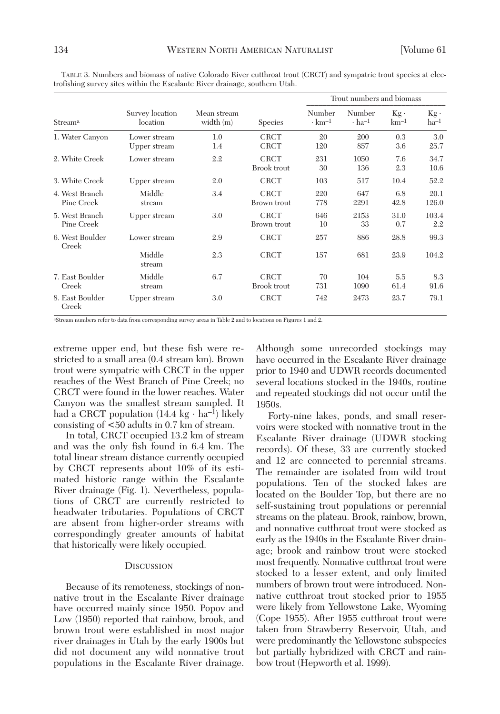| Stream <sup>a</sup>          | Survey location<br>location  | Mean stream<br>width $(m)$ | <b>Species</b>                    | Trout numbers and biomass          |                                    |                  |                     |
|------------------------------|------------------------------|----------------------------|-----------------------------------|------------------------------------|------------------------------------|------------------|---------------------|
|                              |                              |                            |                                   | Number<br>$\cdot$ km <sup>-1</sup> | Number<br>$\cdot$ ha <sup>-1</sup> | $Kg$ .<br>$km-1$ | $Kg -$<br>$ha^{-1}$ |
| 1. Water Canyon              | Lower stream<br>Upper stream | 1.0<br>1.4                 | <b>CRCT</b><br><b>CRCT</b>        | 20<br>120                          | 200<br>857                         | 0.3<br>3.6       | 3.0<br>25.7         |
| 2. White Creek               | Lower stream                 | 2.2                        | <b>CRCT</b><br><b>Brook</b> trout | 231<br>30                          | 1050<br>136                        | 7.6<br>2.3       | 34.7<br>10.6        |
| 3. White Creek               | Upper stream                 | 2.0                        | <b>CRCT</b>                       | 103                                | 517                                | 10.4             | 52.2                |
| 4. West Branch<br>Pine Creek | Middle<br>stream             | 3.4                        | <b>CRCT</b><br>Brown trout        | 220<br>778                         | 647<br>2291                        | 6.8<br>42.8      | 20.1<br>126.0       |
| 5. West Branch<br>Pine Creek | Upper stream                 | 3.0                        | <b>CRCT</b><br>Brown trout        | 646<br>10                          | 2153<br>33                         | 31.0<br>0.7      | 103.4<br>2.2        |
| 6. West Boulder<br>Creek     | Lower stream                 | 2.9                        | <b>CRCT</b>                       | 257                                | 886                                | 28.8             | 99.3                |
|                              | Middle<br>stream             | 2.3                        | <b>CRCT</b>                       | 157                                | 681                                | 23.9             | 104.2               |
| 7. East Boulder<br>Creek     | Middle<br>stream             | 6.7                        | <b>CRCT</b><br><b>Brook</b> trout | 70<br>731                          | 104<br>1090                        | 5.5<br>61.4      | 8.3<br>91.6         |
| 8. East Boulder<br>Creek     | Upper stream                 | 3.0                        | <b>CRCT</b>                       | 742                                | 2473                               | 23.7             | 79.1                |

TABLE 3. Numbers and biomass of native Colorado River cutthroat trout (CRCT) and sympatric trout species at electrofishing survey sites within the Escalante River drainage, southern Utah.

aStream numbers refer to data from corresponding survey areas in Table 2 and to locations on Figures 1 and 2.

extreme upper end, but these fish were restricted to a small area (0.4 stream km). Brown trout were sympatric with CRCT in the upper reaches of the West Branch of Pine Creek; no CRCT were found in the lower reaches. Water Canyon was the smallest stream sampled. It had a CRCT population  $(14.4 \text{ kg} \cdot \text{ha}^{-1})$  likely consisting of <50 adults in 0.7 km of stream.

In total, CRCT occupied 13.2 km of stream and was the only fish found in 6.4 km. The total linear stream distance currently occupied by CRCT represents about 10% of its estimated historic range within the Escalante River drainage (Fig. 1). Nevertheless, populations of CRCT are currently restricted to headwater tributaries. Populations of CRCT are absent from higher-order streams with correspondingly greater amounts of habitat that historically were likely occupied.

#### **DISCUSSION**

Because of its remoteness, stockings of nonnative trout in the Escalante River drainage have occurred mainly since 1950. Popov and Low (1950) reported that rainbow, brook, and brown trout were established in most major river drainages in Utah by the early 1900s but did not document any wild nonnative trout populations in the Escalante River drainage.

Although some unrecorded stockings may have occurred in the Escalante River drainage prior to 1940 and UDWR records documented several locations stocked in the 1940s, routine and repeated stockings did not occur until the 1950s.

Forty-nine lakes, ponds, and small reservoirs were stocked with nonnative trout in the Escalante River drainage (UDWR stocking records). Of these, 33 are currently stocked and 12 are connected to perennial streams. The remainder are isolated from wild trout populations. Ten of the stocked lakes are located on the Boulder Top, but there are no self-sustaining trout populations or perennial streams on the plateau. Brook, rainbow, brown, and nonnative cutthroat trout were stocked as early as the 1940s in the Escalante River drainage; brook and rainbow trout were stocked most frequently. Nonnative cutthroat trout were stocked to a lesser extent, and only limited numbers of brown trout were introduced. Nonnative cutthroat trout stocked prior to 1955 were likely from Yellowstone Lake, Wyoming (Cope 1955). After 1955 cutthroat trout were taken from Strawberry Reservoir, Utah, and were predominantly the Yellowstone subspecies but partially hybridized with CRCT and rainbow trout (Hepworth et al. 1999).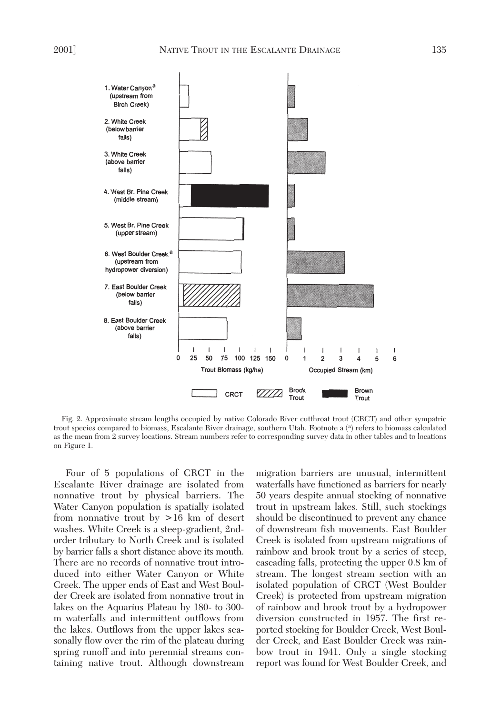

Fig. 2. Approximate stream lengths occupied by native Colorado River cutthroat trout (CRCT) and other sympatric trout species compared to biomass, Escalante River drainage, southern Utah. Footnote a (a) refers to biomass calculated as the mean from 2 survey locations. Stream numbers refer to corresponding survey data in other tables and to locations on Figure 1.

Four of 5 populations of CRCT in the Escalante River drainage are isolated from nonnative trout by physical barriers. The Water Canyon population is spatially isolated from nonnative trout by >16 km of desert washes. White Creek is a steep-gradient, 2ndorder tributary to North Creek and is isolated by barrier falls a short distance above its mouth. There are no records of nonnative trout introduced into either Water Canyon or White Creek. The upper ends of East and West Boulder Creek are isolated from nonnative trout in lakes on the Aquarius Plateau by 180- to 300 m waterfalls and intermittent outflows from the lakes. Outflows from the upper lakes seasonally flow over the rim of the plateau during spring runoff and into perennial streams containing native trout. Although downstream

migration barriers are unusual, intermittent waterfalls have functioned as barriers for nearly 50 years despite annual stocking of nonnative trout in upstream lakes. Still, such stockings should be discontinued to prevent any chance of downstream fish movements. East Boulder Creek is isolated from upstream migrations of rainbow and brook trout by a series of steep, cascading falls, protecting the upper 0.8 km of stream. The longest stream section with an isolated population of CRCT (West Boulder Creek) is protected from upstream migration of rainbow and brook trout by a hydropower diversion constructed in 1957. The first reported stocking for Boulder Creek, West Boulder Creek, and East Boulder Creek was rainbow trout in 1941. Only a single stocking report was found for West Boulder Creek, and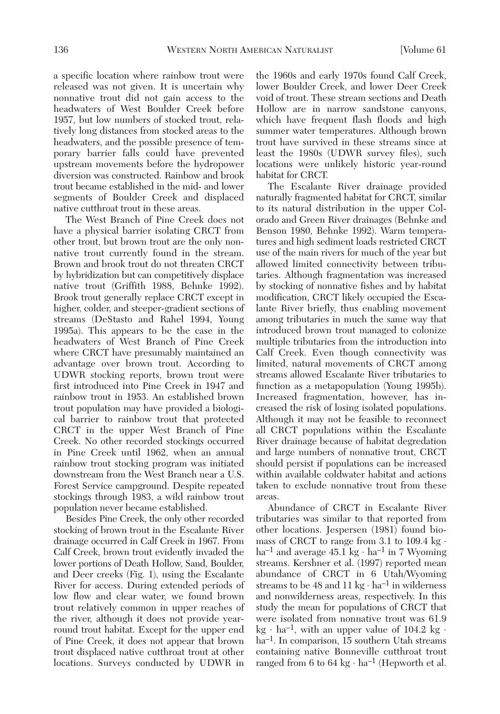a specific location where rainbow trout were released was not given. It is uncertain why nonnative trout did not gain access to the headwaters of West Boulder Creek before 1957, but low numbers of stocked trout, relatively long distances from stocked areas to the headwaters, and the possible presence of temporary barrier falls could have prevented upstream movements before the hydropower diversion was constructed. Rainbow and brook trout became established in the mid- and lower segments of Boulder Creek and displaced native cutthroat trout in these areas.

The West Branch of Pine Creek does not have a physical barrier isolating CRCT from other trout, but brown trout are the only nonnative trout currently found in the stream. Brown and brook trout do not threaten CRCT by hybridization but can competitively displace native trout (Griffith 1988, Behnke 1992). Brook trout generally replace CRCT except in higher, colder, and steeper-gradient sections of streams (DeStasto and Rahel 1994, Young 1995a). This appears to be the case in the headwaters of West Branch of Pine Creek where CRCT have presumably maintained an advantage over brown trout. According to UDWR stocking reports, brown trout were first introduced into Pine Creek in 1947 and rainbow trout in 1953. An established brown trout population may have provided a biological barrier to rainbow trout that protected CRCT in the upper West Branch of Pine Creek. No other recorded stockings occurred in Pine Creek until 1962, when an annual rainbow trout stocking program was initiated downstream from the West Branch near a U.S. Forest Service campground. Despite repeated stockings through 1983, a wild rainbow trout population never became established.

Besides Pine Creek, the only other recorded stocking of brown trout in the Escalante River drainage occurred in Calf Creek in 1967. From Calf Creek, brown trout evidently invaded the lower portions of Death Hollow, Sand, Boulder, and Deer creeks (Fig. 1), using the Escalante River for access. During extended periods of low flow and clear water, we found brown trout relatively common in upper reaches of the river, although it does not provide yearround trout habitat. Except for the upper end of Pine Creek, it does not appear that brown trout displaced native cutthroat trout at other locations. Surveys conducted by UDWR in

the 1960s and early 1970s found Calf Creek, lower Boulder Creek, and lower Deer Creek void of trout. These stream sections and Death Hollow are in narrow sandstone canyons, which have frequent flash floods and high summer water temperatures. Although brown trout have survived in these streams since at least the 1980s (UDWR survey files), such locations were unlikely historic year-round habitat for CRCT.

The Escalante River drainage provided naturally fragmented habitat for CRCT, similar to its natural distribution in the upper Colorado and Green River drainages (Behnke and Benson 1980, Behnke 1992). Warm temperatures and high sediment loads restricted CRCT use of the main rivers for much of the year but allowed limited connectivity between tributaries. Although fragmentation was increased by stocking of nonnative fishes and by habitat modification, CRCT likely occupied the Escalante River briefly, thus enabling movement among tributaries in much the same way that introduced brown trout managed to colonize multiple tributaries from the introduction into Calf Creek. Even though connectivity was limited, natural movements of CRCT among streams allowed Escalante River tributaries to function as a metapopulation (Young 1995b). Increased fragmentation, however, has increased the risk of losing isolated populations. Although it may not be feasible to reconnect all CRCT populations within the Escalante River drainage because of habitat degredation and large numbers of nonnative trout, CRCT should persist if populations can be increased within available coldwater habitat and actions taken to exclude nonnative trout from these areas.

Abundance of CRCT in Escalante River tributaries was similar to that reported from other locations. Jespersen (1981) found biomass of CRCT to range from 3.1 to 109.4 kg  $\cdot$ ha<sup>-1</sup> and average 45.1 kg  $\cdot$  ha<sup>-1</sup> in 7 Wyoming streams. Kershner et al. (1997) reported mean abundance of CRCT in 6 Utah/Wyoming streams to be 48 and 11 kg  $\cdot$  ha<sup>-1</sup> in wilderness and nonwilderness areas, respectively. In this study the mean for populations of CRCT that were isolated from nonnative trout was 61.9  $kg \cdot ha^{-1}$ , with an upper value of 104.2 kg  $\cdot$ ha<sup>-1</sup>. In comparison, 15 southern Utah streams containing native Bonneville cutthroat trout ranged from 6 to 64 kg  $\cdot$  ha<sup>-1</sup> (Hepworth et al.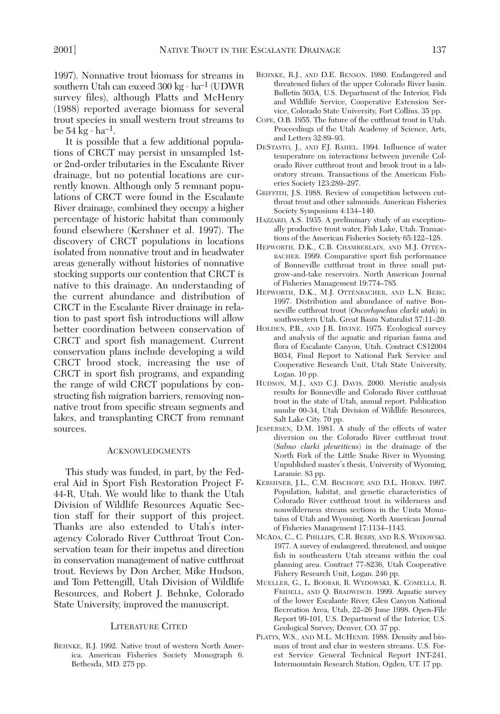1997). Nonnative trout biomass for streams in southern Utah can exceed  $300 \text{ kg} \cdot \text{ha}^{-1}$  (UDWR survey files), although Platts and McHenry (1988) reported average biomass for several trout species in small western trout streams to be  $54 \text{ kg} \cdot \text{ha}^{-1}$ .

It is possible that a few additional populations of CRCT may persist in unsampled 1stor 2nd-order tributaries in the Escalante River drainage, but no potential locations are currently known. Although only 5 remnant populations of CRCT were found in the Escalante River drainage, combined they occupy a higher percentage of historic habitat than commonly found elsewhere (Kershner et al. 1997). The discovery of CRCT populations in locations isolated from nonnative trout and in headwater areas generally without histories of nonnative stocking supports our contention that CRCT is native to this drainage. An understanding of the current abundance and distribution of CRCT in the Escalante River drainage in relation to past sport fish introductions will allow better coordination between conservation of CRCT and sport fish management. Current conservation plans include developing a wild CRCT brood stock, increasing the use of CRCT in sport fish programs, and expanding the range of wild CRCT populations by constructing fish migration barriers, removing nonnative trout from specific stream segments and lakes, and transplanting CRCT from remnant sources.

#### ACKNOWLEDGMENTS

This study was funded, in part, by the Federal Aid in Sport Fish Restoration Project F-44-R, Utah. We would like to thank the Utah Division of Wildlife Resources Aquatic Section staff for their support of this project. Thanks are also extended to Utah's interagency Colorado River Cutthroat Trout Conservation team for their impetus and direction in conservation management of native cutthroat trout. Reviews by Don Archer, Mike Hudson, and Tom Pettengill, Utah Division of Wildlife Resources, and Robert J. Behnke, Colorado State University, improved the manuscript.

## LITERATURE CITED

BEHNKE, R.J. 1992. Native trout of western North America. American Fisheries Society Monograph 6. Bethesda, MD. 275 pp.

- BEHNKE, R.J., AND D.E. BENSON. 1980. Endangered and threatened fishes of the upper Colorado River basin. Bulletin 503A, U.S. Department of the Interior, Fish and Wildlife Service, Cooperative Extension Service, Colorado State University, Fort Collins. 35 pp.
- COPE, O.B. 1955. The future of the cutthroat trout in Utah. Proceedings of the Utah Academy of Science, Arts, and Letters 32:89–93.
- DESTASTO, J., AND F.J. RAHEL. 1994. Influence of water temperature on interactions between juvenile Colorado River cutthroat trout and brook trout in a laboratory stream. Transactions of the American Fisheries Society 123:289–297.
- GRIFFITH, J.S. 1988. Review of competition between cutthroat trout and other salmonids. American Fisheries Society Symposium 4:134–140.
- HAZZARD, A.S. 1935. A preliminary study of an exceptionally productive trout water, Fish Lake, Utah. Transactions of the American Fisheries Society 65:122–128.
- HEPWORTH, D.K., C.B. CHAMBERLAIN, AND M.J. OTTEN-BACHER. 1999. Comparative sport fish performance of Bonneville cutthroat trout in three small putgrow-and-take reservoirs. North American Journal of Fisheries Management 19:774–785.
- HEPWORTH, D.K., M.J. OTTENBACHER, AND L.N. BERG. 1997. Distribution and abundance of native Bonneville cutthroat trout (*Oncorhynchus clarki utah*) in southwestern Utah. Great Basin Naturalist 57:11–20.
- HOLDEN, P.B., AND J.R. IRVINE. 1975. Ecological survey and analysis of the aquatic and riparian fauna and flora of Escalante Canyon, Utah. Contract CS12004 B034, Final Report to National Park Service and Cooperative Research Unit, Utah State University, Logan. 10 pp.
- HUDSON, M.J., AND C.J. DAVIS. 2000. Meristic analysis results for Bonneville and Colorado River cutthroat trout in the state of Utah, annual report. Publication numbr 00-34, Utah Division of Wildlife Resources, Salt Lake City. 70 pp.
- JESPERSEN, D.M. 1981. A study of the effects of water diversion on the Colorado River cutthroat trout (*Salmo clarki pleuriticus*) in the drainage of the North Fork of the Little Snake River in Wyoming. Unpublished master's thesis, University of Wyoming, Laramie. 83 pp.
- KERSHNER, J.L., C.M. BISCHOFF, AND D.L. HORAN. 1997. Population, habitat, and genetic characteristics of Colorado River cutthroat trout in wilderness and nonwilderness stream sections in the Uinta Mountains of Utah and Wyoming. North American Journal of Fisheries Management 17:1134–1143.
- MCADA, C., C. PHILLIPS, C.R. BERRY, AND R.S. WYDOWSKI. 1977. A survey of endangered, threatened, and unique fish in southeastern Utah streams within the coal planning area. Contract 77-8236, Utah Cooperative Fishery Research Unit, Logan. 246 pp.
- MUELLER, G., L. BOOBAR, R. WYDOWSKI, K. COMELLA, R. FRIDELL, AND Q. BRADWISCH. 1999. Aquatic survey of the lower Escalante River, Glen Canyon National Recreation Area, Utah, 22–26 June 1998. Open-File Report 99-101, U.S. Department of the Interior, U.S. Geological Survey, Denver, CO. 37 pp.
- PLATTS, W.S., AND M.L. MCHENRY. 1988. Density and biomass of trout and char in western streams. U.S. Forest Service General Technical Report INT-241, Intermountain Research Station, Ogden, UT. 17 pp.